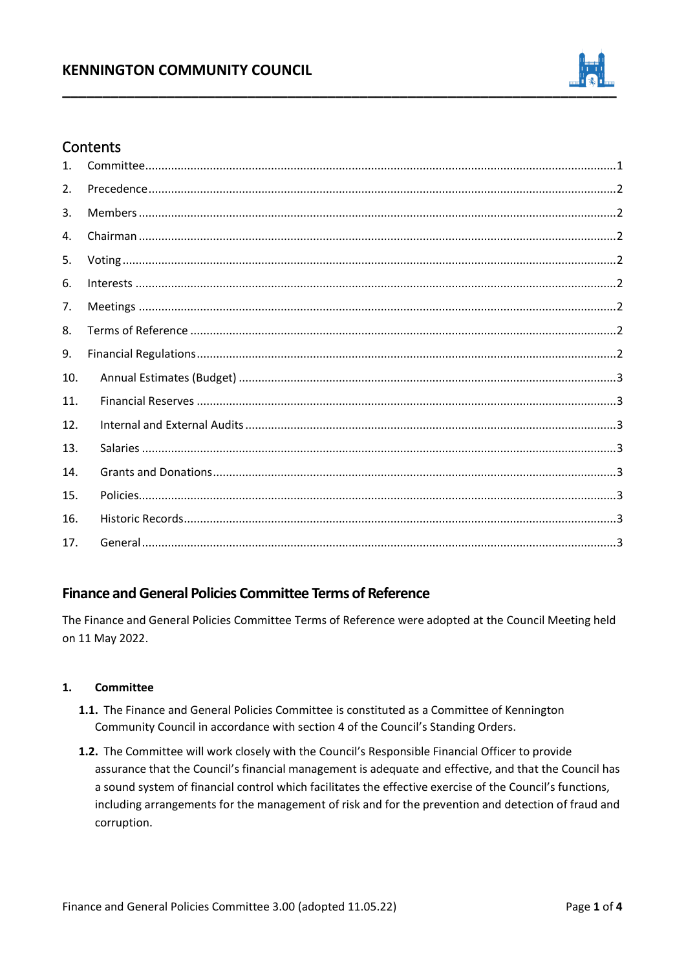# **KENNINGTON COMMUNITY COUNCIL**



# Contents

| 1 <sup>1</sup> |  |
|----------------|--|
| 2.             |  |
| 3.             |  |
| 4.             |  |
| 5.             |  |
| 6.             |  |
| 7.             |  |
| 8.             |  |
| 9.             |  |
| 10.            |  |
| 11.            |  |
| 12.            |  |
| 13.            |  |
| 14.            |  |
| 15.            |  |
| 16.            |  |
| 17.            |  |

# **Finance and General Policies Committee Terms of Reference**

The Finance and General Policies Committee Terms of Reference were adopted at the Council Meeting held on 11 May 2022.

#### <span id="page-0-0"></span>Committee  $1.$

- 1.1. The Finance and General Policies Committee is constituted as a Committee of Kennington Community Council in accordance with section 4 of the Council's Standing Orders.
- 1.2. The Committee will work closely with the Council's Responsible Financial Officer to provide assurance that the Council's financial management is adequate and effective, and that the Council has a sound system of financial control which facilitates the effective exercise of the Council's functions, including arrangements for the management of risk and for the prevention and detection of fraud and corruption.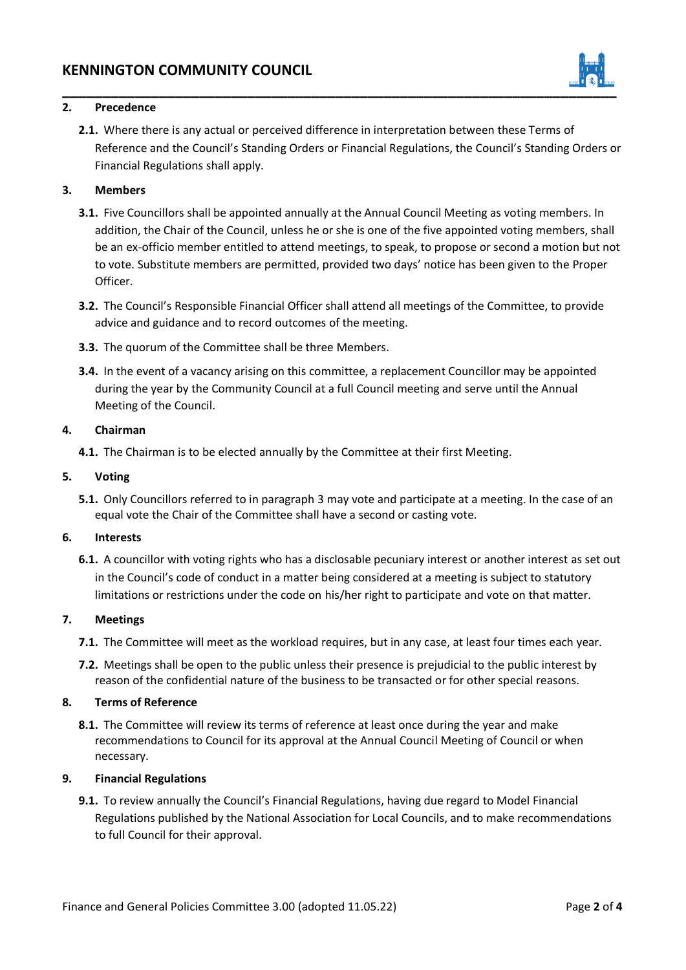

# <span id="page-1-0"></span>**2. Precedence**

**2.1.** Where there is any actual or perceived difference in interpretation between these Terms of Reference and the Council's Standing Orders or Financial Regulations, the Council's Standing Orders or Financial Regulations shall apply.

# <span id="page-1-1"></span>**3. Members**

- **3.1.** Five Councillors shall be appointed annually at the Annual Council Meeting as voting members. In addition, the Chair of the Council, unless he or she is one of the five appointed voting members, shall be an ex-officio member entitled to attend meetings, to speak, to propose or second a motion but not to vote. Substitute members are permitted, provided two days' notice has been given to the Proper Officer.
- **3.2.** The Council's Responsible Financial Officer shall attend all meetings of the Committee, to provide advice and guidance and to record outcomes of the meeting.
- **3.3.** The quorum of the Committee shall be three Members.
- **3.4.** In the event of a vacancy arising on this committee, a replacement Councillor may be appointed during the year by the Community Council at a full Council meeting and serve until the Annual Meeting of the Council.

# <span id="page-1-2"></span>**4. Chairman**

**4.1.** The Chairman is to be elected annually by the Committee at their first Meeting.

#### <span id="page-1-3"></span>**5. Voting**

**5.1.** Only Councillors referred to in paragraph 3 may vote and participate at a meeting. In the case of an equal vote the Chair of the Committee shall have a second or casting vote.

# <span id="page-1-4"></span>**6. Interests**

**6.1.** A councillor with voting rights who has a disclosable pecuniary interest or another interest as set out in the Council's code of conduct in a matter being considered at a meeting is subject to statutory limitations or restrictions under the code on his/her right to participate and vote on that matter.

# <span id="page-1-5"></span>**7. Meetings**

- **7.1.** The Committee will meet as the workload requires, but in any case, at least four times each year.
- **7.2.** Meetings shall be open to the public unless their presence is prejudicial to the public interest by reason of the confidential nature of the business to be transacted or for other special reasons.

# <span id="page-1-6"></span>**8. Terms of Reference**

**8.1.** The Committee will review its terms of reference at least once during the year and make recommendations to Council for its approval at the Annual Council Meeting of Council or when necessary.

# <span id="page-1-7"></span>**9. Financial Regulations**

**9.1.** To review annually the Council's Financial Regulations, having due regard to Model Financial Regulations published by the National Association for Local Councils, and to make recommendations to full Council for their approval.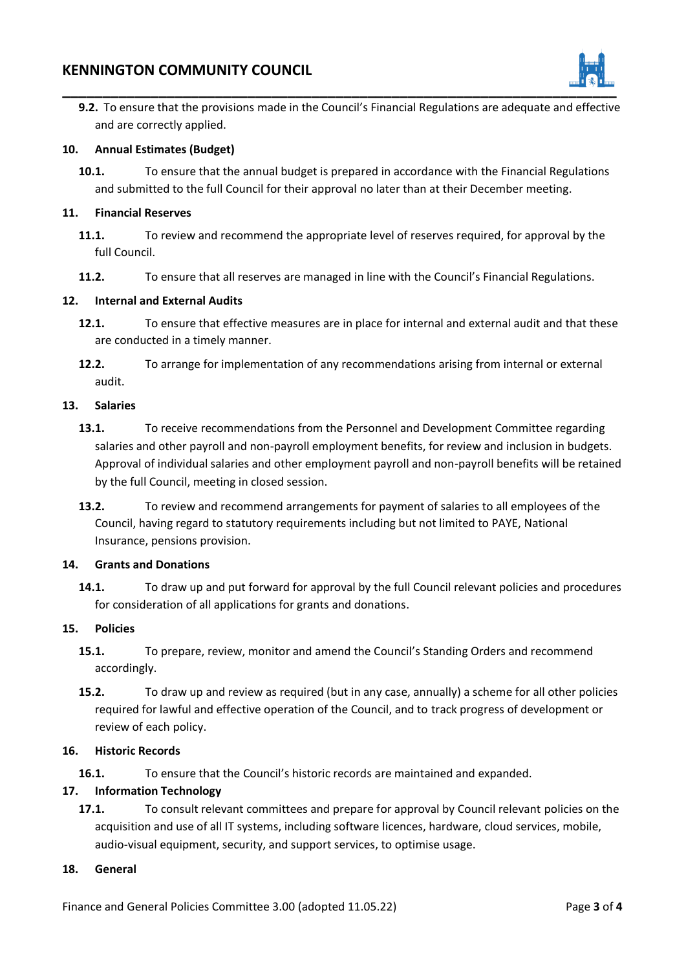# **KENNINGTON COMMUNITY COUNCIL**



**9.2.** To ensure that the provisions made in the Council's Financial Regulations are adequate and effective and are correctly applied.

# <span id="page-2-0"></span>**10. Annual Estimates (Budget)**

**10.1.** To ensure that the annual budget is prepared in accordance with the Financial Regulations and submitted to the full Council for their approval no later than at their December meeting.

# <span id="page-2-1"></span>**11. Financial Reserves**

- **11.1.** To review and recommend the appropriate level of reserves required, for approval by the full Council.
- **11.2.** To ensure that all reserves are managed in line with the Council's Financial Regulations.

# <span id="page-2-2"></span>**12. Internal and External Audits**

- **12.1.** To ensure that effective measures are in place for internal and external audit and that these are conducted in a timely manner.
- **12.2.** To arrange for implementation of any recommendations arising from internal or external audit.

# <span id="page-2-3"></span>**13. Salaries**

- **13.1.** To receive recommendations from the Personnel and Development Committee regarding salaries and other payroll and non-payroll employment benefits, for review and inclusion in budgets. Approval of individual salaries and other employment payroll and non-payroll benefits will be retained by the full Council, meeting in closed session.
- **13.2.** To review and recommend arrangements for payment of salaries to all employees of the Council, having regard to statutory requirements including but not limited to PAYE, National Insurance, pensions provision.

# <span id="page-2-4"></span>**14. Grants and Donations**

**14.1.** To draw up and put forward for approval by the full Council relevant policies and procedures for consideration of all applications for grants and donations.

# <span id="page-2-5"></span>**15. Policies**

- **15.1.** To prepare, review, monitor and amend the Council's Standing Orders and recommend accordingly.
- **15.2.** To draw up and review as required (but in any case, annually) a scheme for all other policies required for lawful and effective operation of the Council, and to track progress of development or review of each policy.

# <span id="page-2-6"></span>**16. Historic Records**

**16.1.** To ensure that the Council's historic records are maintained and expanded.

# **17. Information Technology**

**17.1.** To consult relevant committees and prepare for approval by Council relevant policies on the acquisition and use of all IT systems, including software licences, hardware, cloud services, mobile, audio-visual equipment, security, and support services, to optimise usage.

# <span id="page-2-7"></span>**18. General**